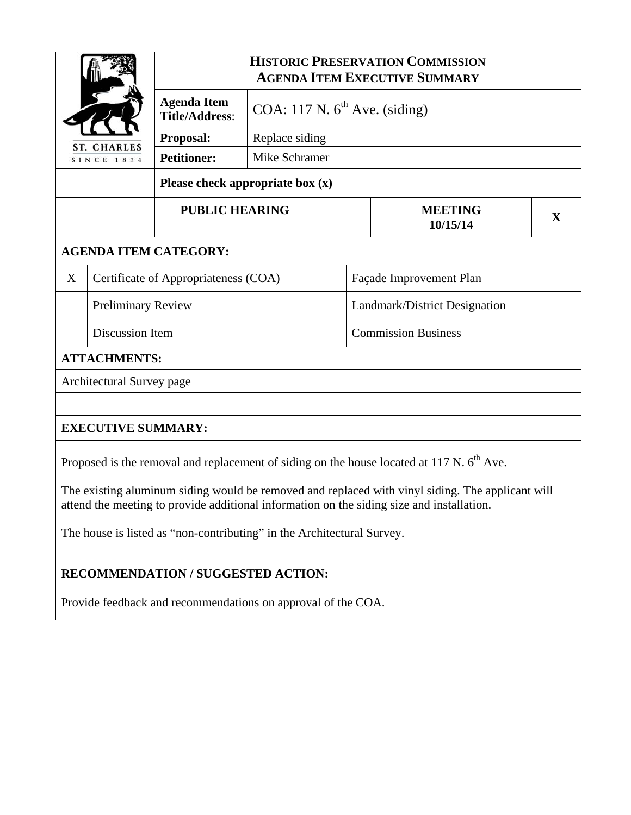| <b>ST. CHARLES</b><br>SINCE 1834   |                           | <b>HISTORIC PRESERVATION COMMISSION</b><br><b>AGENDA ITEM EXECUTIVE SUMMARY</b> |                                    |  |                               |   |  |  |
|------------------------------------|---------------------------|---------------------------------------------------------------------------------|------------------------------------|--|-------------------------------|---|--|--|
|                                    |                           | <b>Agenda Item</b><br><b>Title/Address:</b>                                     | COA: 117 N. $6^{th}$ Ave. (siding) |  |                               |   |  |  |
|                                    |                           | Proposal:                                                                       | Replace siding                     |  |                               |   |  |  |
|                                    |                           | <b>Petitioner:</b>                                                              | Mike Schramer                      |  |                               |   |  |  |
| Please check appropriate box $(x)$ |                           |                                                                                 |                                    |  |                               |   |  |  |
|                                    |                           | <b>PUBLIC HEARING</b>                                                           |                                    |  | <b>MEETING</b><br>10/15/14    | X |  |  |
| <b>AGENDA ITEM CATEGORY:</b>       |                           |                                                                                 |                                    |  |                               |   |  |  |
| X                                  |                           | Certificate of Appropriateness (COA)                                            |                                    |  | Façade Improvement Plan       |   |  |  |
|                                    | <b>Preliminary Review</b> |                                                                                 |                                    |  | Landmark/District Designation |   |  |  |
|                                    | Discussion Item           |                                                                                 |                                    |  | <b>Commission Business</b>    |   |  |  |
| <b>ATTACHMENTS:</b>                |                           |                                                                                 |                                    |  |                               |   |  |  |
| Architectural Survey page          |                           |                                                                                 |                                    |  |                               |   |  |  |
|                                    |                           |                                                                                 |                                    |  |                               |   |  |  |
| <b>EXECUTIVE SUMMARY:</b>          |                           |                                                                                 |                                    |  |                               |   |  |  |

Proposed is the removal and replacement of siding on the house located at 117 N.  $6<sup>th</sup>$  Ave.

The existing aluminum siding would be removed and replaced with vinyl siding. The applicant will attend the meeting to provide additional information on the siding size and installation.

The house is listed as "non-contributing" in the Architectural Survey.

# **RECOMMENDATION / SUGGESTED ACTION:**

Provide feedback and recommendations on approval of the COA.